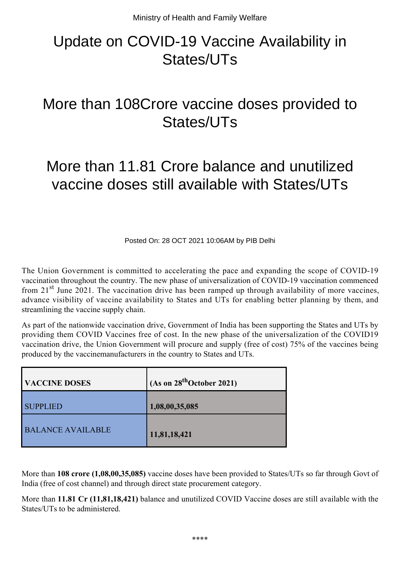## Update on COVID-19 Vaccine Availability in States/UTs

## More than 108Crore vaccine doses provided to States/UTs

## More than 11.81 Crore balance and unutilized vaccine doses still available with States/UTs

Posted On: 28 OCT 2021 10:06AM by PIB Delhi

The Union Government is committed to accelerating the pace and expanding the scope of COVID-19 vaccination throughout the country. The new phase of universalization of COVID-19 vaccination commenced from  $21<sup>st</sup>$  June 2021. The vaccination drive has been ramped up through availability of more vaccines, advance visibility of vaccine availability to States and UTs for enabling better planning by them, and streamlining the vaccine supply chain.

As part of the nationwide vaccination drive, Government of India has been supporting the States and UTs by providing them COVID Vaccines free of cost. In the new phase of the universalization of the COVID19 vaccination drive, the Union Government will procure and supply (free of cost) 75% of the vaccines being produced by the vaccinemanufacturers in the country to States and UTs.

| <b>VACCINE DOSES</b>     | (As on 28 <sup>th</sup> October 2021) |
|--------------------------|---------------------------------------|
| <b>SUPPLIED</b>          | 1,08,00,35,085                        |
| <b>BALANCE AVAILABLE</b> | 11,81,18,421                          |

More than **108 crore (1,08,00,35,085)** vaccine doses have been provided to States/UTs so far through Govt of India (free of cost channel) and through direct state procurement category.

More than **11.81 Cr (11,81,18,421)** balance and unutilized COVID Vaccine doses are still available with the States/UTs to be administered.